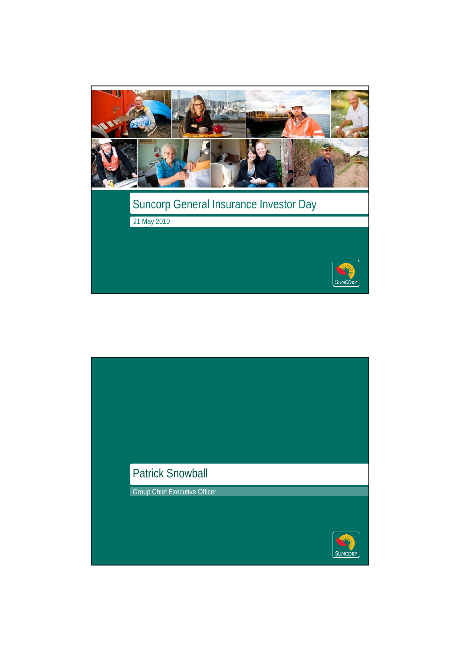

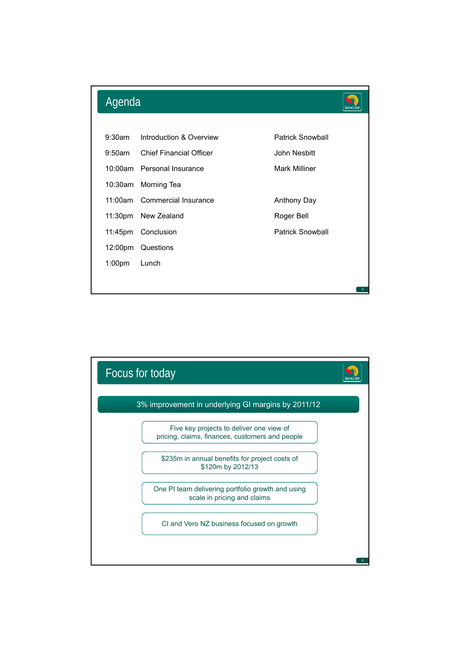

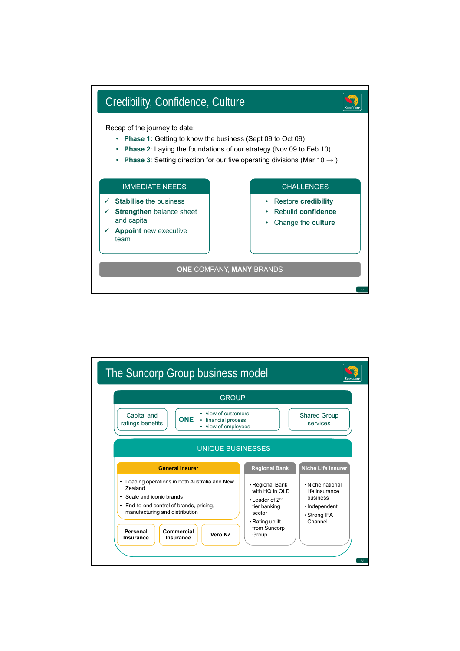

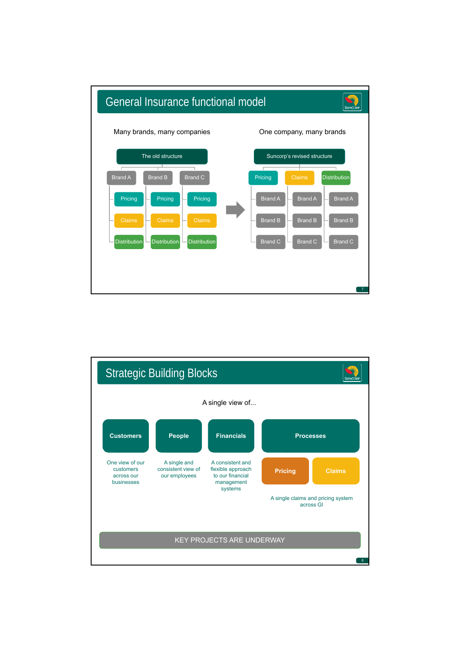

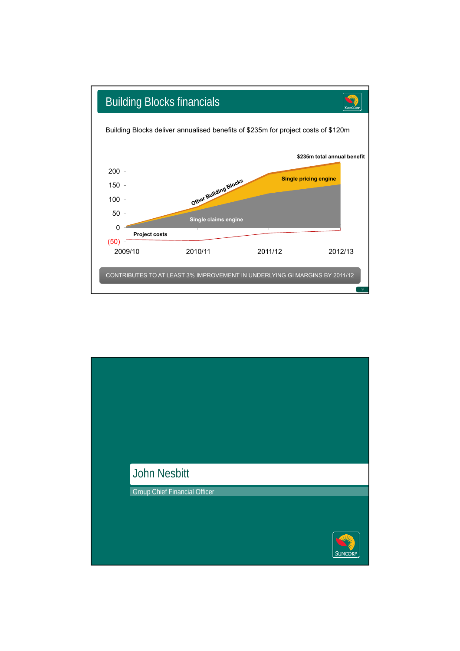

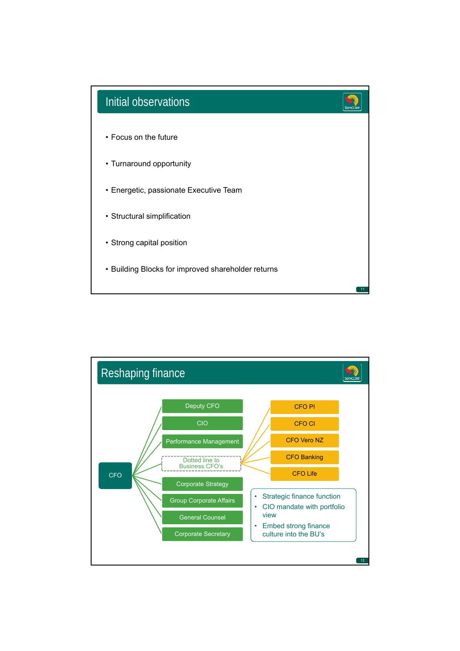

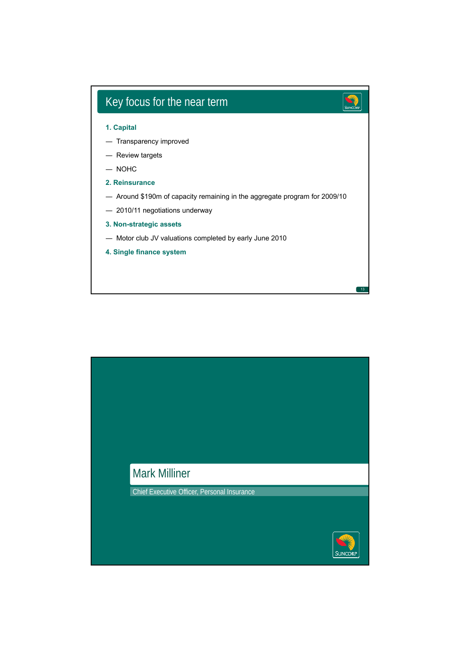

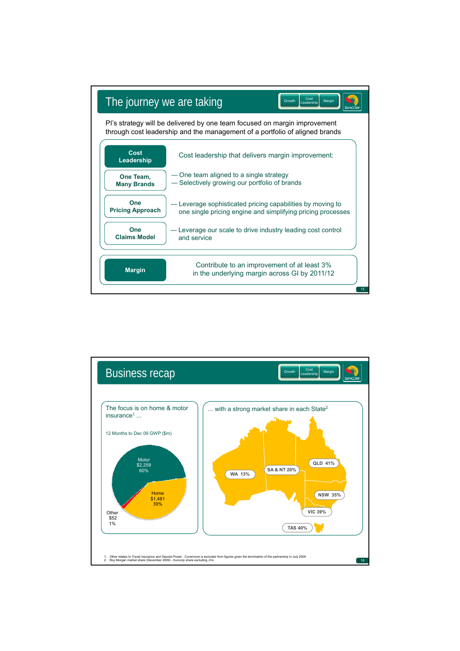

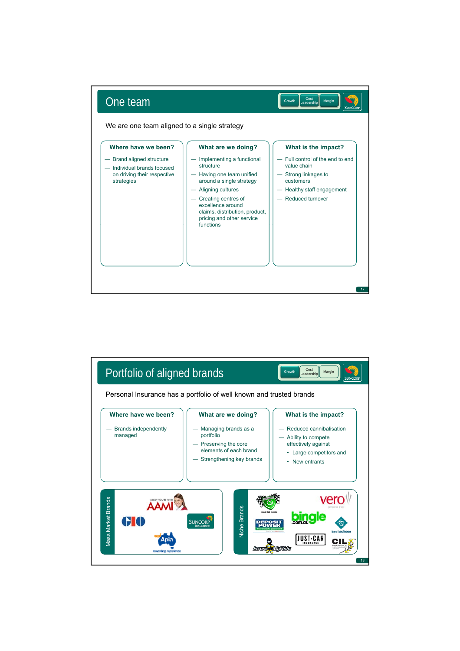

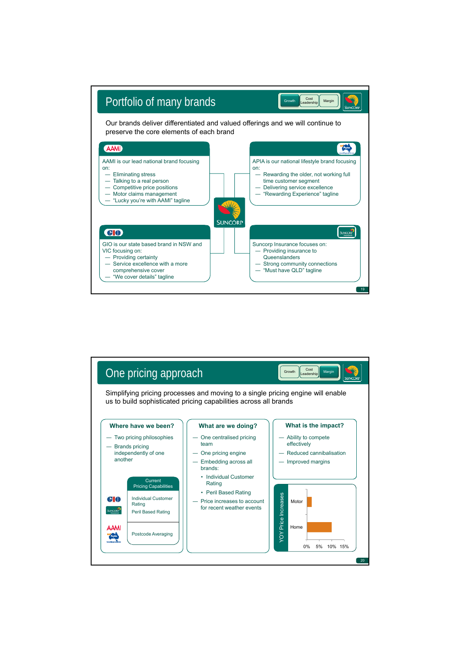

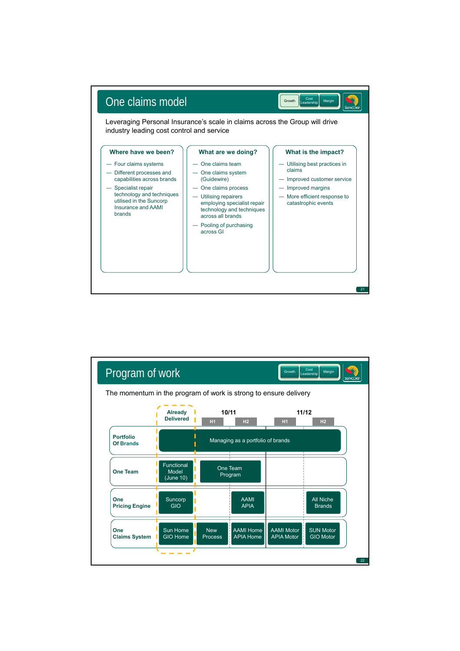

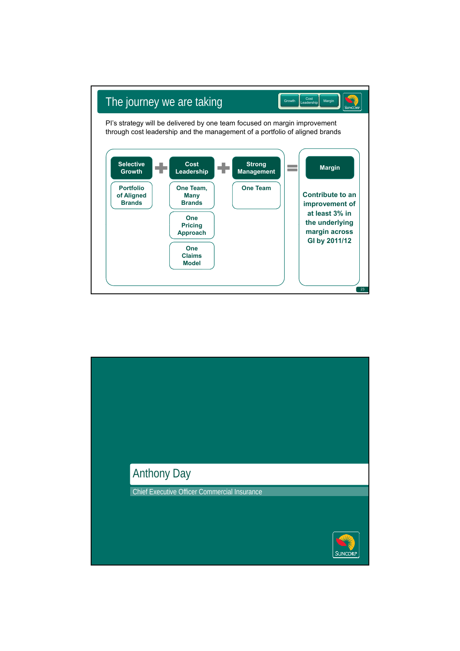

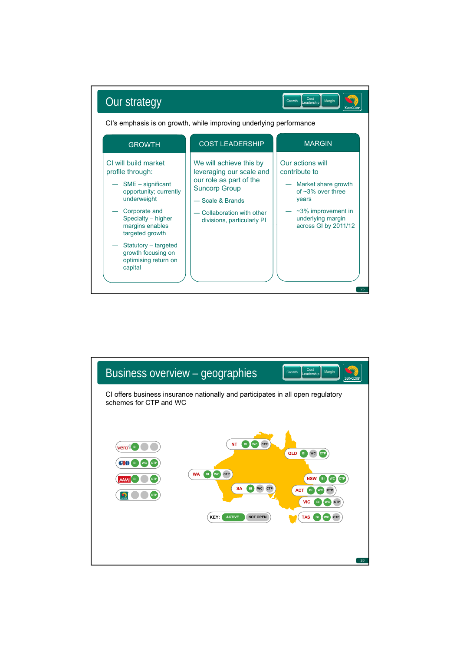

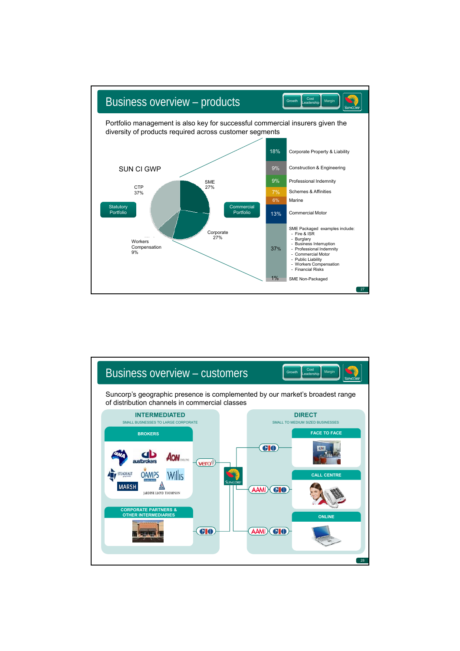

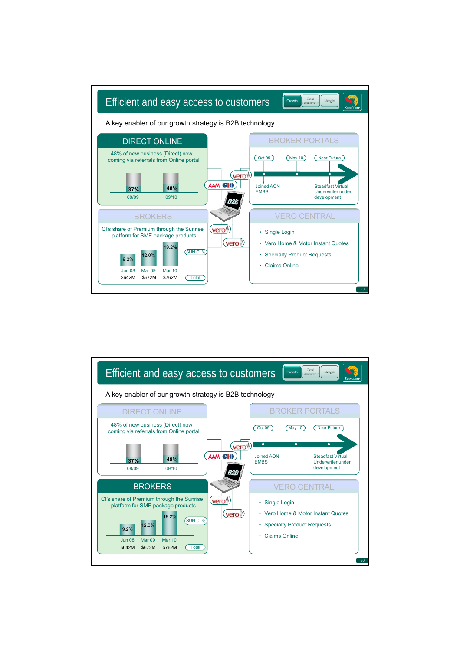

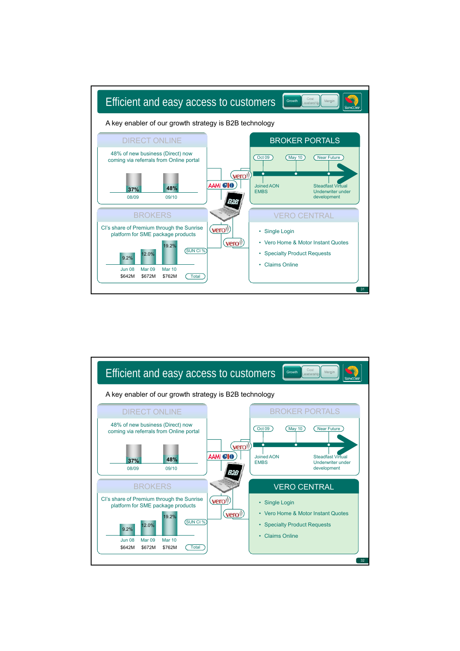

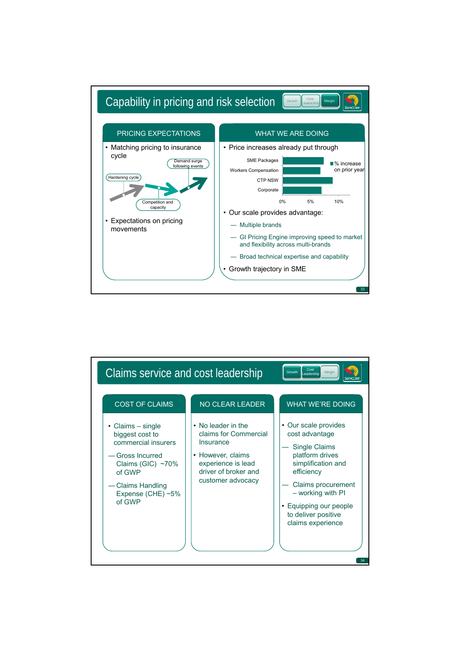

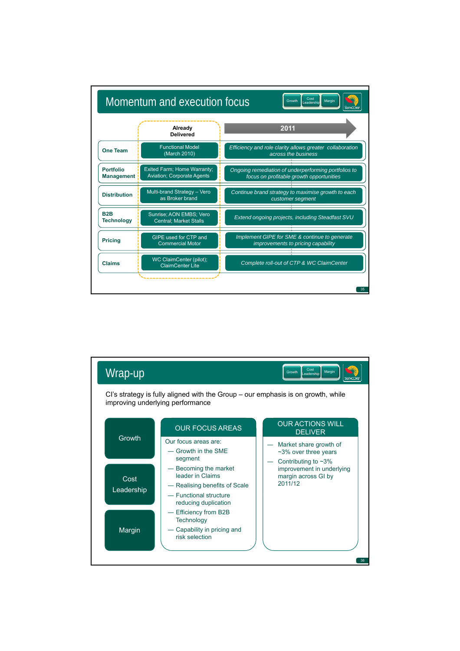

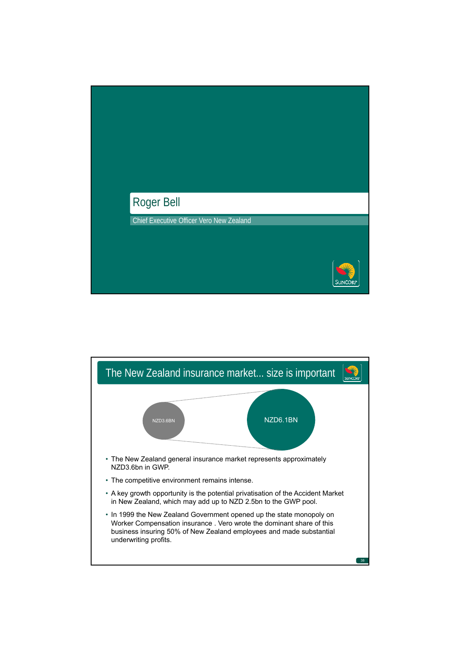

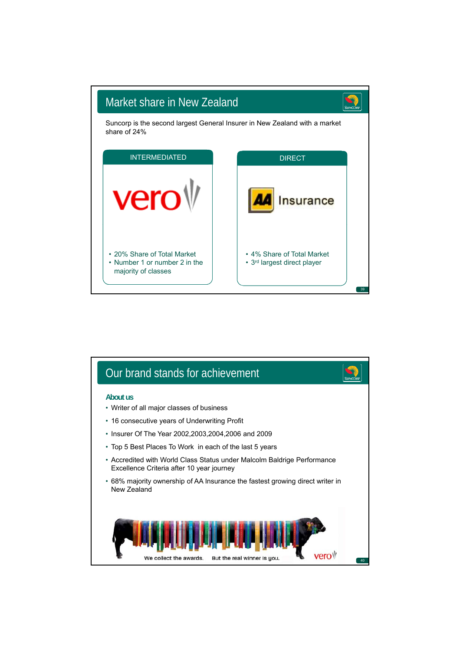

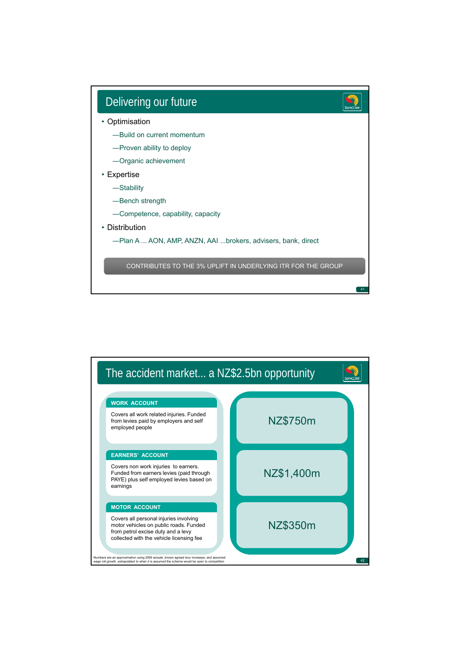

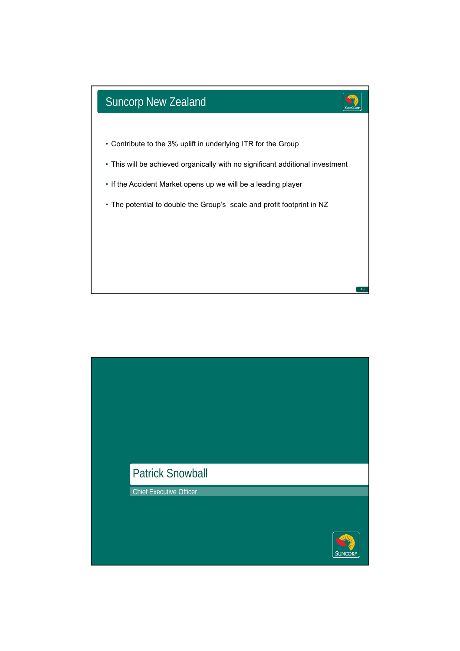

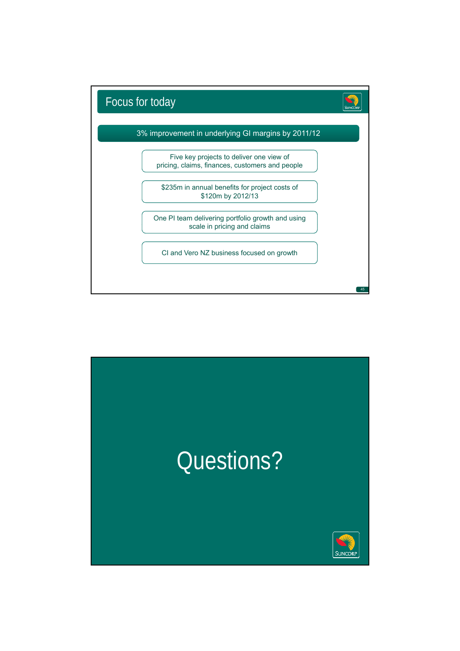